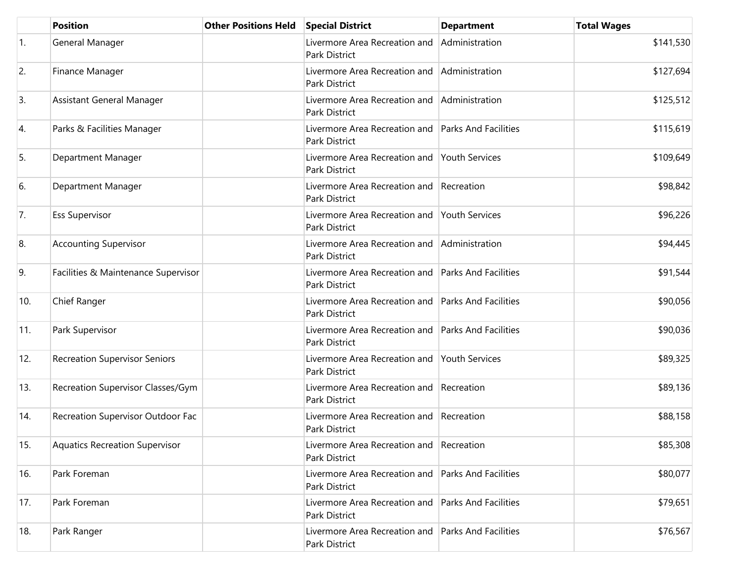|            | <b>Position</b>                       | <b>Other Positions Held</b> | <b>Special District</b>                                             | <b>Department</b>           | <b>Total Wages</b> |
|------------|---------------------------------------|-----------------------------|---------------------------------------------------------------------|-----------------------------|--------------------|
| $\vert$ 1. | General Manager                       |                             | Livermore Area Recreation and<br><b>Park District</b>               | Administration              | \$141,530          |
| 2.         | Finance Manager                       |                             | Livermore Area Recreation and<br>Park District                      | Administration              | \$127,694          |
| 3.         | Assistant General Manager             |                             | Livermore Area Recreation and<br>Park District                      | Administration              | \$125,512          |
| 4.         | Parks & Facilities Manager            |                             | Livermore Area Recreation and<br>Park District                      | <b>Parks And Facilities</b> | \$115,619          |
| 5.         | Department Manager                    |                             | Livermore Area Recreation and<br>Park District                      | Youth Services              | \$109,649          |
| 6.         | Department Manager                    |                             | Livermore Area Recreation and<br>Park District                      | Recreation                  | \$98,842           |
| 7.         | <b>Ess Supervisor</b>                 |                             | Livermore Area Recreation and<br>Park District                      | Youth Services              | \$96,226           |
| 8.         | <b>Accounting Supervisor</b>          |                             | Livermore Area Recreation and<br>Park District                      | Administration              | \$94,445           |
| 9.         | Facilities & Maintenance Supervisor   |                             | Livermore Area Recreation and<br>Park District                      | <b>Parks And Facilities</b> | \$91,544           |
| 10.        | Chief Ranger                          |                             | Livermore Area Recreation and<br>Park District                      | <b>Parks And Facilities</b> | \$90,056           |
| 11.        | Park Supervisor                       |                             | Livermore Area Recreation and Parks And Facilities<br>Park District |                             | \$90,036           |
| 12.        | <b>Recreation Supervisor Seniors</b>  |                             | Livermore Area Recreation and<br>Park District                      | <b>Youth Services</b>       | \$89,325           |
| 13.        | Recreation Supervisor Classes/Gym     |                             | Livermore Area Recreation and<br>Park District                      | Recreation                  | \$89,136           |
| 14.        | Recreation Supervisor Outdoor Fac     |                             | Livermore Area Recreation and<br>Park District                      | Recreation                  | \$88,158           |
| 15.        | <b>Aquatics Recreation Supervisor</b> |                             | Livermore Area Recreation and Recreation<br>Park District           |                             | \$85,308           |
| 16.        | Park Foreman                          |                             | Livermore Area Recreation and Parks And Facilities<br>Park District |                             | \$80,077           |
| 17.        | Park Foreman                          |                             | Livermore Area Recreation and<br>Park District                      | <b>Parks And Facilities</b> | \$79,651           |
| 18.        | Park Ranger                           |                             | Livermore Area Recreation and<br>Park District                      | <b>Parks And Facilities</b> | \$76,567           |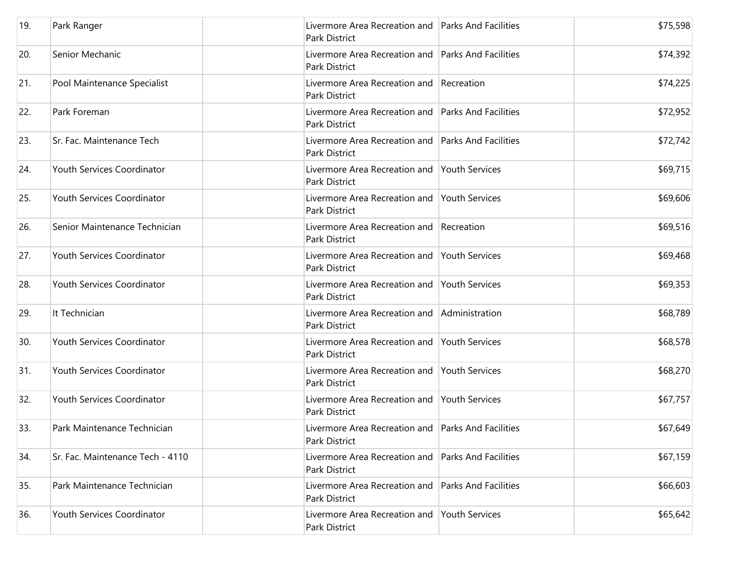| 19. | Park Ranger                      | Livermore Area Recreation and Parks And Facilities<br>Park District |                             | \$75,598 |
|-----|----------------------------------|---------------------------------------------------------------------|-----------------------------|----------|
| 20. | Senior Mechanic                  | Livermore Area Recreation and Parks And Facilities<br>Park District |                             | \$74,392 |
| 21. | Pool Maintenance Specialist      | Livermore Area Recreation and Recreation<br>Park District           |                             | \$74,225 |
| 22. | Park Foreman                     | Livermore Area Recreation and<br>Park District                      | <b>Parks And Facilities</b> | \$72,952 |
| 23. | Sr. Fac. Maintenance Tech        | Livermore Area Recreation and<br><b>Park District</b>               | <b>Parks And Facilities</b> | \$72,742 |
| 24. | Youth Services Coordinator       | Livermore Area Recreation and<br>Park District                      | <b>Youth Services</b>       | \$69,715 |
| 25. | Youth Services Coordinator       | Livermore Area Recreation and<br><b>Park District</b>               | <b>Youth Services</b>       | \$69,606 |
| 26. | Senior Maintenance Technician    | Livermore Area Recreation and Recreation<br><b>Park District</b>    |                             | \$69,516 |
| 27. | Youth Services Coordinator       | Livermore Area Recreation and<br><b>Park District</b>               | <b>Youth Services</b>       | \$69,468 |
| 28. | Youth Services Coordinator       | Livermore Area Recreation and Youth Services<br>Park District       |                             | \$69,353 |
| 29. | It Technician                    | Livermore Area Recreation and<br><b>Park District</b>               | Administration              | \$68,789 |
| 30. | Youth Services Coordinator       | Livermore Area Recreation and Youth Services<br>Park District       |                             | \$68,578 |
| 31. | Youth Services Coordinator       | Livermore Area Recreation and<br>Park District                      | <b>Youth Services</b>       | \$68,270 |
| 32. | Youth Services Coordinator       | Livermore Area Recreation and<br>Park District                      | <b>Youth Services</b>       | \$67,757 |
| 33. | Park Maintenance Technician      | Livermore Area Recreation and Parks And Facilities<br>Park District |                             | \$67,649 |
| 34. | Sr. Fac. Maintenance Tech - 4110 | Livermore Area Recreation and<br>Park District                      | <b>Parks And Facilities</b> | \$67,159 |
| 35. | Park Maintenance Technician      | Livermore Area Recreation and<br>Park District                      | <b>Parks And Facilities</b> | \$66,603 |
| 36. | Youth Services Coordinator       | Livermore Area Recreation and<br>Park District                      | Youth Services              | \$65,642 |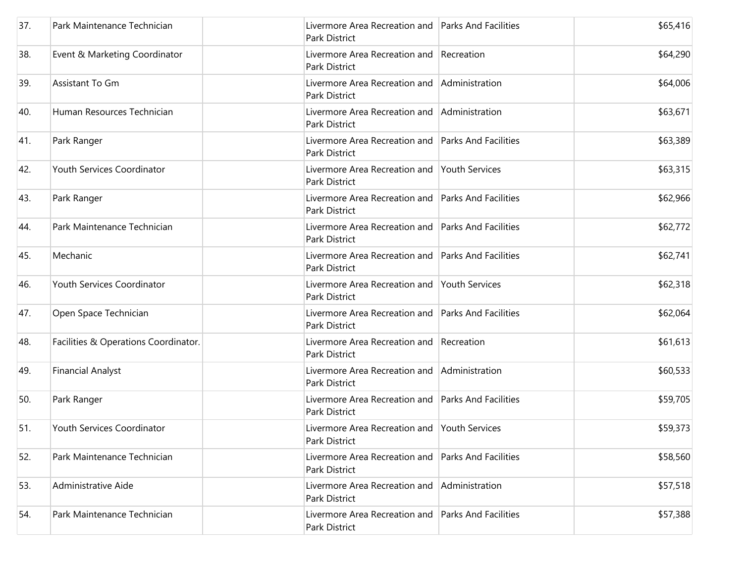| 37. | Park Maintenance Technician          | Livermore Area Recreation and Parks And Facilities<br>Park District |                             | \$65,416 |
|-----|--------------------------------------|---------------------------------------------------------------------|-----------------------------|----------|
| 38. | Event & Marketing Coordinator        | Livermore Area Recreation and Recreation<br><b>Park District</b>    |                             | \$64,290 |
| 39. | Assistant To Gm                      | Livermore Area Recreation and<br><b>Park District</b>               | Administration              | \$64,006 |
| 40. | Human Resources Technician           | Livermore Area Recreation and<br>Park District                      | Administration              | \$63,671 |
| 41. | Park Ranger                          | Livermore Area Recreation and<br><b>Park District</b>               | <b>Parks And Facilities</b> | \$63,389 |
| 42. | Youth Services Coordinator           | Livermore Area Recreation and<br>Park District                      | Youth Services              | \$63,315 |
| 43. | Park Ranger                          | Livermore Area Recreation and<br><b>Park District</b>               | <b>Parks And Facilities</b> | \$62,966 |
| 44. | Park Maintenance Technician          | Livermore Area Recreation and<br><b>Park District</b>               | <b>Parks And Facilities</b> | \$62,772 |
| 45. | Mechanic                             | Livermore Area Recreation and<br>Park District                      | <b>Parks And Facilities</b> | \$62,741 |
| 46. | Youth Services Coordinator           | Livermore Area Recreation and<br><b>Park District</b>               | <b>Youth Services</b>       | \$62,318 |
| 47. | Open Space Technician                | Livermore Area Recreation and<br><b>Park District</b>               | <b>Parks And Facilities</b> | \$62,064 |
| 48. | Facilities & Operations Coordinator. | Livermore Area Recreation and Recreation<br><b>Park District</b>    |                             | \$61,613 |
| 49. | <b>Financial Analyst</b>             | Livermore Area Recreation and<br>Park District                      | Administration              | \$60,533 |
| 50. | Park Ranger                          | Livermore Area Recreation and<br><b>Park District</b>               | <b>Parks And Facilities</b> | \$59,705 |
| 51. | Youth Services Coordinator           | Livermore Area Recreation and Youth Services<br>Park District       |                             | \$59,373 |
| 52. | Park Maintenance Technician          | Livermore Area Recreation and<br>Park District                      | <b>Parks And Facilities</b> | \$58,560 |
| 53. | Administrative Aide                  | Livermore Area Recreation and<br>Park District                      | Administration              | \$57,518 |
| 54. | Park Maintenance Technician          | Livermore Area Recreation and<br>Park District                      | <b>Parks And Facilities</b> | \$57,388 |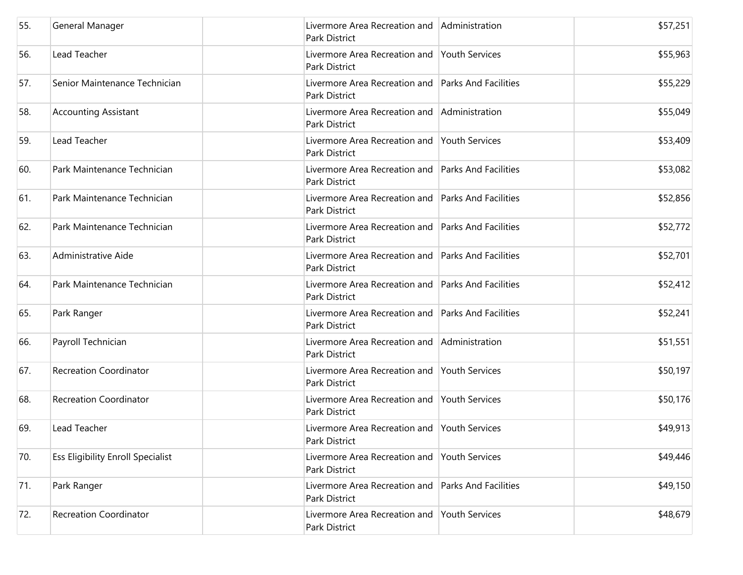| 55. | General Manager                          | Livermore Area Recreation and Administration<br>Park District       |                             | \$57,251 |
|-----|------------------------------------------|---------------------------------------------------------------------|-----------------------------|----------|
| 56. | Lead Teacher                             | Livermore Area Recreation and Youth Services<br>Park District       |                             | \$55,963 |
| 57. | Senior Maintenance Technician            | Livermore Area Recreation and Parks And Facilities<br>Park District |                             | \$55,229 |
| 58. | <b>Accounting Assistant</b>              | Livermore Area Recreation and<br>Park District                      | Administration              | \$55,049 |
| 59. | Lead Teacher                             | Livermore Area Recreation and<br>Park District                      | <b>Youth Services</b>       | \$53,409 |
| 60. | Park Maintenance Technician              | Livermore Area Recreation and<br>Park District                      | <b>Parks And Facilities</b> | \$53,082 |
| 61. | Park Maintenance Technician              | Livermore Area Recreation and<br>Park District                      | <b>Parks And Facilities</b> | \$52,856 |
| 62. | Park Maintenance Technician              | Livermore Area Recreation and<br>Park District                      | <b>Parks And Facilities</b> | \$52,772 |
| 63. | Administrative Aide                      | Livermore Area Recreation and<br><b>Park District</b>               | <b>Parks And Facilities</b> | \$52,701 |
| 64. | Park Maintenance Technician              | Livermore Area Recreation and<br>Park District                      | <b>Parks And Facilities</b> | \$52,412 |
| 65. | Park Ranger                              | Livermore Area Recreation and<br>Park District                      | <b>Parks And Facilities</b> | \$52,241 |
| 66. | Payroll Technician                       | Livermore Area Recreation and Administration<br>Park District       |                             | \$51,551 |
| 67. | <b>Recreation Coordinator</b>            | Livermore Area Recreation and<br>Park District                      | <b>Youth Services</b>       | \$50,197 |
| 68. | <b>Recreation Coordinator</b>            | Livermore Area Recreation and Youth Services<br>Park District       |                             | \$50,176 |
| 69. | Lead Teacher                             | Livermore Area Recreation and Youth Services<br>Park District       |                             | \$49,913 |
| 70. | <b>Ess Eligibility Enroll Specialist</b> | Livermore Area Recreation and<br>Park District                      | <b>Youth Services</b>       | \$49,446 |
| 71. | Park Ranger                              | Livermore Area Recreation and<br>Park District                      | <b>Parks And Facilities</b> | \$49,150 |
| 72. | <b>Recreation Coordinator</b>            | Livermore Area Recreation and<br>Park District                      | Youth Services              | \$48,679 |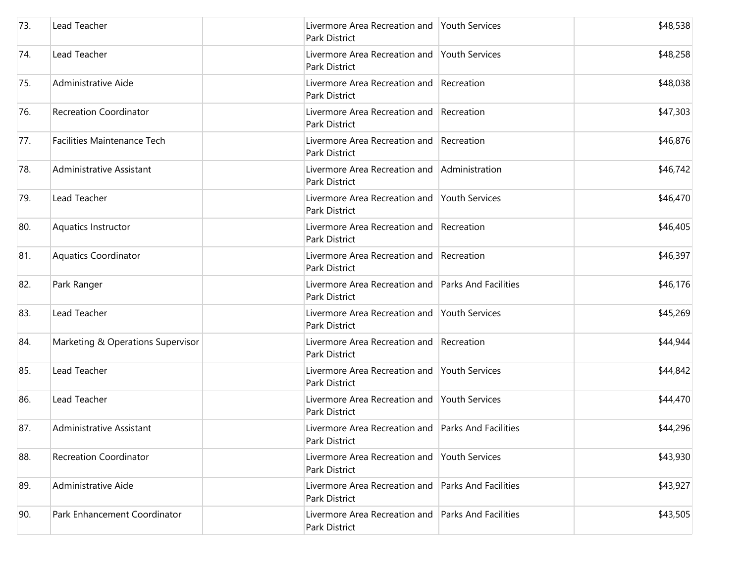| 73. | Lead Teacher                       | Livermore Area Recreation and Youth Services<br>Park District       |                             | \$48,538 |
|-----|------------------------------------|---------------------------------------------------------------------|-----------------------------|----------|
| 74. | Lead Teacher                       | Livermore Area Recreation and Youth Services<br>Park District       |                             | \$48,258 |
| 75. | Administrative Aide                | Livermore Area Recreation and Recreation<br>Park District           |                             | \$48,038 |
| 76. | <b>Recreation Coordinator</b>      | Livermore Area Recreation and Recreation<br>Park District           |                             | \$47,303 |
| 77. | <b>Facilities Maintenance Tech</b> | Livermore Area Recreation and Recreation<br>Park District           |                             | \$46,876 |
| 78. | Administrative Assistant           | Livermore Area Recreation and Administration<br>Park District       |                             | \$46,742 |
| 79. | Lead Teacher                       | Livermore Area Recreation and<br>Park District                      | <b>Youth Services</b>       | \$46,470 |
| 80. | Aquatics Instructor                | Livermore Area Recreation and Recreation<br>Park District           |                             | \$46,405 |
| 81. | <b>Aquatics Coordinator</b>        | Livermore Area Recreation and<br>Park District                      | Recreation                  | \$46,397 |
| 82. | Park Ranger                        | Livermore Area Recreation and Parks And Facilities<br>Park District |                             | \$46,176 |
| 83. | Lead Teacher                       | Livermore Area Recreation and Youth Services<br>Park District       |                             | \$45,269 |
| 84. | Marketing & Operations Supervisor  | Livermore Area Recreation and Recreation<br>Park District           |                             | \$44,944 |
| 85. | Lead Teacher                       | Livermore Area Recreation and Youth Services<br>Park District       |                             | \$44,842 |
| 86. | Lead Teacher                       | Livermore Area Recreation and Youth Services<br>Park District       |                             | \$44,470 |
| 87. | Administrative Assistant           | Livermore Area Recreation and Parks And Facilities<br>Park District |                             | \$44,296 |
| 88. | <b>Recreation Coordinator</b>      | Livermore Area Recreation and<br>Park District                      | Youth Services              | \$43,930 |
| 89. | Administrative Aide                | Livermore Area Recreation and<br>Park District                      | <b>Parks And Facilities</b> | \$43,927 |
| 90. | Park Enhancement Coordinator       | Livermore Area Recreation and<br>Park District                      | <b>Parks And Facilities</b> | \$43,505 |